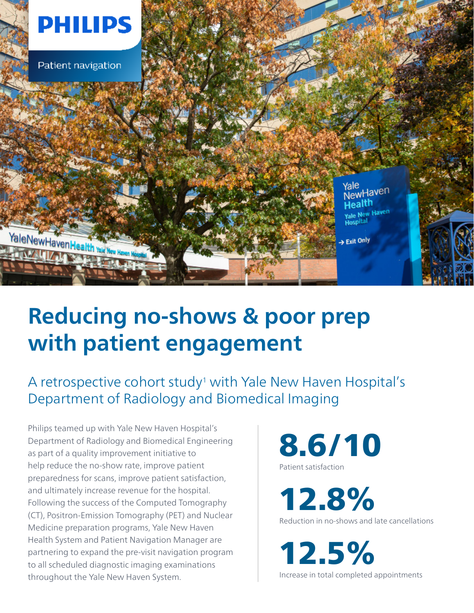

# **Reducing no-shows & poor prep with patient engagement**

## A retrospective cohort study<sup>1</sup> with Yale New Haven Hospital's Department of Radiology and Biomedical Imaging

Philips teamed up with Yale New Haven Hospital's Department of Radiology and Biomedical Engineering as part of a quality improvement initiative to help reduce the no-show rate, improve patient preparedness for scans, improve patient satisfaction, and ultimately increase revenue for the hospital. Following the success of the Computed Tomography (CT), Positron-Emission Tomography (PET) and Nuclear Medicine preparation programs, Yale New Haven Health System and Patient Navigation Manager are partnering to expand the pre-visit navigation program to all scheduled diagnostic imaging examinations throughout the Yale New Haven System.

8.6/10 Patient satisfaction

12.8%

Reduction in no-shows and late cancellations

12.5% Increase in total completed appointments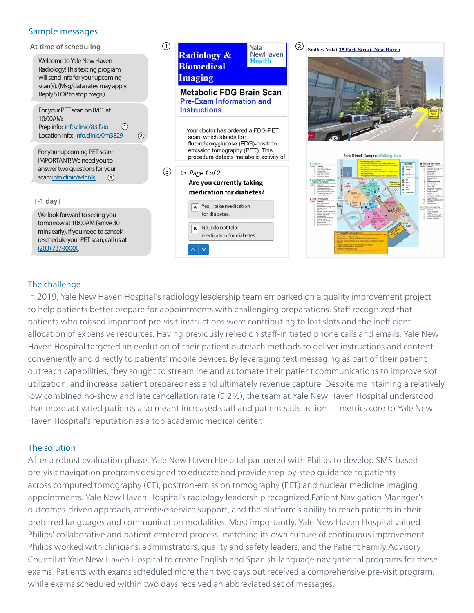#### Sample messages

**1** At time of scheduling Yale **Radiology &** NewHaven Welcome to Yale New Haven **Health Biomedical** Radiology! This texting program **Imaging** will send info for your upcoming scan(s). (Msg/data rates may apply. **Metabolic FDG Brain Scan** Reply STOP to stop msgs.) **Pre-Exam Information and Instructions** For your PET scan on 8/01 at 10:00AM: Prep info: info.clinic/83jf2io **1** Your doctor has ordered a FDG-PET Location info: info.clinic/0m3829 **2** scan, which stands for: fluorodeoxyglucose (FDG)-positron emission tomography (PET). This For your upcoming PET scan: procedure detects metabolic activity of IMPORTANT! We need you to answer two questions for your **3**  $1+$  Page 1 of 2 scan: info.clinic/a4n6lk **3** Are you currently taking medication for diabetes? T-1 day†  $\overline{A}$  Yes, I take medication for diabetes. We look forward to seeing you tomorrow at 10:00AM (arrive 30 B No, I do not take mins early). If you need to cancel/ medication for diabetes. reschedule your PET scan, call us at



### The challenge

(203) 737-XXXX.

In 2019, Yale New Haven Hospital's radiology leadership team embarked on a quality improvement project to help patients better prepare for appointments with challenging preparations. Staff recognized that patients who missed important pre-visit instructions were contributing to lost slots and the inefficient allocation of expensive resources. Having previously relied on staff-initiated phone calls and emails, Yale New Haven Hospital targeted an evolution of their patient outreach methods to deliver instructions and content conveniently and directly to patients' mobile devices. By leveraging text messaging as part of their patient outreach capabilities, they sought to streamline and automate their patient communications to improve slot utilization, and increase patient preparedness and ultimately revenue capture. Despite maintaining a relatively low combined no-show and late cancellation rate (9.2%), the team at Yale New Haven Hospital understood that more activated patients also meant increased staff and patient satisfaction — metrics core to Yale New Haven Hospital's reputation as a top academic medical center.

#### The solution

After a robust evaluation phase, Yale New Haven Hospital partnered with Philips to develop SMS-based pre-visit navigation programs designed to educate and provide step-by-step guidance to patients across computed tomography (CT), positron-emission tomography (PET) and nuclear medicine imaging appointments. Yale New Haven Hospital's radiology leadership recognized Patient Navigation Manager's outcomes-driven approach, attentive service support, and the platform's ability to reach patients in their preferred languages and communication modalities. Most importantly, Yale New Haven Hospital valued Philips' collaborative and patient-centered process, matching its own culture of continuous improvement. Philips worked with clinicians, administrators, quality and safety leaders, and the Patient Family Advisory Council at Yale New Haven Hospital to create English and Spanish-language navigational programs for these exams. Patients with exams scheduled more than two days out received a comprehensive pre-visit program, while exams scheduled within two days received an abbreviated set of messages.